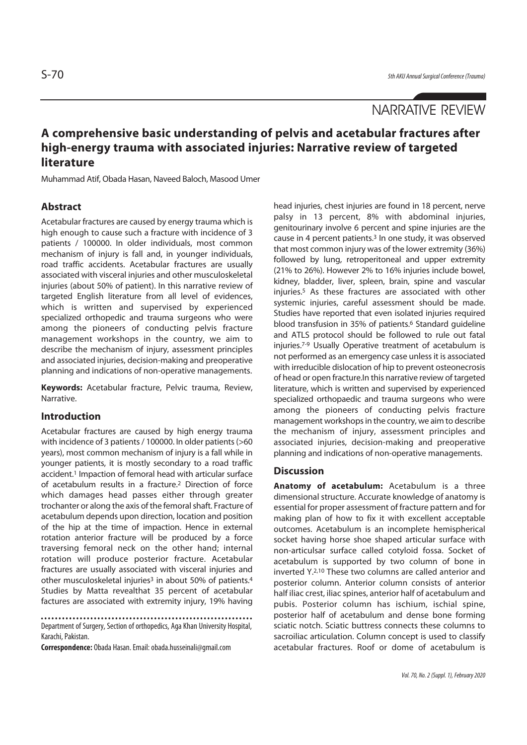# NARRATIVE REVIEW

# **A comprehensive basic understanding of pelvis and acetabular fractures after high-energy trauma with associated injuries: Narrative review of targeted literature**

Muhammad Atif, Obada Hasan, Naveed Baloch, Masood Umer

### **Abstract**

Acetabular fractures are caused by energy trauma which is high enough to cause such a fracture with incidence of 3 patients / 100000. In older individuals, most common mechanism of injury is fall and, in younger individuals, road traffic accidents. Acetabular fractures are usually associated with visceral injuries and other musculoskeletal injuries (about 50% of patient). In this narrative review of targeted English literature from all level of evidences, which is written and supervised by experienced specialized orthopedic and trauma surgeons who were among the pioneers of conducting pelvis fracture management workshops in the country, we aim to describe the mechanism of injury, assessment principles and associated injuries, decision-making and preoperative planning and indications of non-operative managements.

**Keywords:** Acetabular fracture, Pelvic trauma, Review, Narrative.

## **Introduction**

Acetabular fractures are caused by high energy trauma with incidence of 3 patients / 100000. In older patients (>60 years), most common mechanism of injury is a fall while in younger patients, it is mostly secondary to a road traffic accident.1 Impaction of femoral head with articular surface of acetabulum results in a fracture.2 Direction of force which damages head passes either through greater trochanter or along the axis of the femoral shaft. Fracture of acetabulum depends upon direction, location and position of the hip at the time of impaction. Hence in external rotation anterior fracture will be produced by a force traversing femoral neck on the other hand; internal rotation will produce posterior fracture. Acetabular fractures are usually associated with visceral injuries and other musculoskeletal injuries<sup>3</sup> in about 50% of patients.<sup>4</sup> Studies by Matta revealthat 35 percent of acetabular factures are associated with extremity injury, 19% having

Department of Surgery, Section of orthopedics, Aga Khan University Hospital, Karachi, Pakistan.

**Correspondence:** Obada Hasan. Email: obada.husseinali@gmail.com

head injuries, chest injuries are found in 18 percent, nerve palsy in 13 percent, 8% with abdominal injuries, genitourinary involve 6 percent and spine injuries are the cause in 4 percent patients.3 In one study, it was observed that most common injury was of the lower extremity (36%) followed by lung, retroperitoneal and upper extremity (21% to 26%). However 2% to 16% injuries include bowel, kidney, bladder, liver, spleen, brain, spine and vascular injuries.5 As these fractures are associated with other systemic injuries, careful assessment should be made. Studies have reported that even isolated injuries required blood transfusion in 35% of patients.<sup>6</sup> Standard guideline and ATLS protocol should be followed to rule out fatal injuries.7-9 Usually Operative treatment of acetabulum is not performed as an emergency case unless it is associated with irreducible dislocation of hip to prevent osteonecrosis of head or open fracture.In this narrative review of targeted literature, which is written and supervised by experienced specialized orthopaedic and trauma surgeons who were among the pioneers of conducting pelvis fracture management workshops in the country, we aim to describe the mechanism of injury, assessment principles and associated injuries, decision-making and preoperative planning and indications of non-operative managements.

### **Discussion**

**Anatomy of acetabulum:** Acetabulum is a three dimensional structure. Accurate knowledge of anatomy is essential for proper assessment of fracture pattern and for making plan of how to fix it with excellent acceptable outcomes. Acetabulum is an incomplete hemispherical socket having horse shoe shaped articular surface with non-articulsar surface called cotyloid fossa. Socket of acetabulum is supported by two column of bone in inverted Y.2,10 These two columns are called anterior and posterior column. Anterior column consists of anterior half iliac crest, iliac spines, anterior half of acetabulum and pubis. Posterior column has ischium, ischial spine, posterior half of acetabulum and dense bone forming sciatic notch. Sciatic buttress connects these columns to sacroiliac articulation. Column concept is used to classify acetabular fractures. Roof or dome of acetabulum is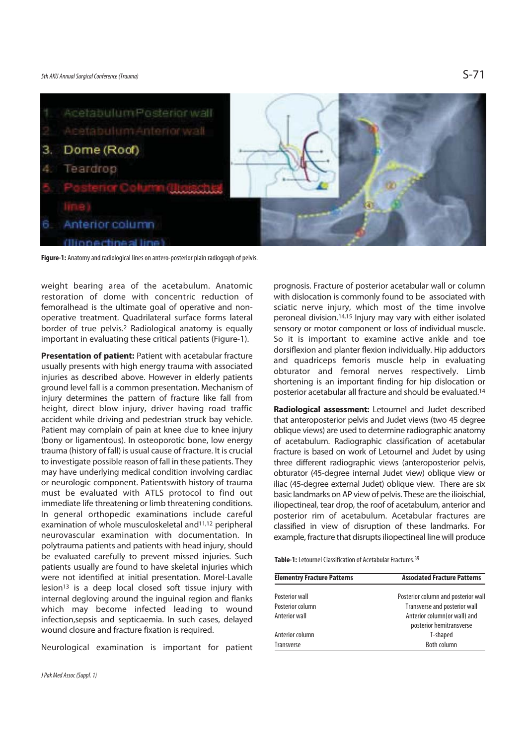## 5th AKU Annual Surgical Conference (Trauma)  $S-71$



**Figure-1:** Anatomy and radiological lines on antero-posterior plain radiograph of pelvis.

weight bearing area of the acetabulum. Anatomic restoration of dome with concentric reduction of femoralhead is the ultimate goal of operative and nonoperative treatment. Quadrilateral surface forms lateral border of true pelvis.2 Radiological anatomy is equally important in evaluating these critical patients (Figure-1).

**Presentation of patient:** Patient with acetabular fracture usually presents with high energy trauma with associated injuries as described above. However in elderly patients ground level fall is a common presentation. Mechanism of injury determines the pattern of fracture like fall from height, direct blow injury, driver having road traffic accident while driving and pedestrian struck bay vehicle. Patient may complain of pain at knee due to knee injury (bony or ligamentous). In osteoporotic bone, low energy trauma (history of fall) is usual cause of fracture. It is crucial to investigate possible reason of fall in these patients. They may have underlying medical condition involving cardiac or neurologic component. Patientswith history of trauma must be evaluated with ATLS protocol to find out immediate life threatening or limb threatening conditions. In general orthopedic examinations include careful examination of whole musculoskeletal and11,12 peripheral neurovascular examination with documentation. In polytrauma patients and patients with head injury, should be evaluated carefully to prevent missed injuries. Such patients usually are found to have skeletal injuries which were not identified at initial presentation. Morel-Lavalle  $lesion<sup>13</sup>$  is a deep local closed soft tissue injury with internal degloving around the inguinal region and flanks which may become infected leading to wound infection,sepsis and septicaemia. In such cases, delayed wound closure and fracture fixation is required.

Neurological examination is important for patient

prognosis. Fracture of posterior acetabular wall or column with dislocation is commonly found to be associated with sciatic nerve injury, which most of the time involve peroneal division.14,15 Injury may vary with either isolated sensory or motor component or loss of individual muscle. So it is important to examine active ankle and toe dorsiflexion and planter flexion individually. Hip adductors and quadriceps femoris muscle help in evaluating obturator and femoral nerves respectively. Limb shortening is an important finding for hip dislocation or posterior acetabular all fracture and should be evaluated.14

**Radiological assessment:** Letournel and Judet described that anteroposterior pelvis and Judet views (two 45 degree oblique views) are used to determine radiographic anatomy of acetabulum. Radiographic classification of acetabular fracture is based on work of Letournel and Judet by using three different radiographic views (anteroposterior pelvis, obturator (45-degree internal Judet view) oblique view or iliac (45-degree external Judet) oblique view. There are six basic landmarks on AP view of pelvis. These are the ilioischial, iliopectineal, tear drop, the roof of acetabulum, anterior and posterior rim of acetabulum. Acetabular fractures are classified in view of disruption of these landmarks. For example, fracture that disrupts iliopectineal line will produce

**Table-1:** Letournel Classification of Acetabular Fractures.39

| <b>Elementry Fracture Patterns</b> | <b>Associated Fracture Patterns</b> |
|------------------------------------|-------------------------------------|
| Posterior wall                     | Posterior column and posterior wall |
| Posterior column                   | Transverse and posterior wall       |
| Anterior wall                      | Anterior column(or wall) and        |
|                                    | posterior hemitransverse            |
| Anterior column                    | T-shaped                            |
| Transverse                         | <b>Both column</b>                  |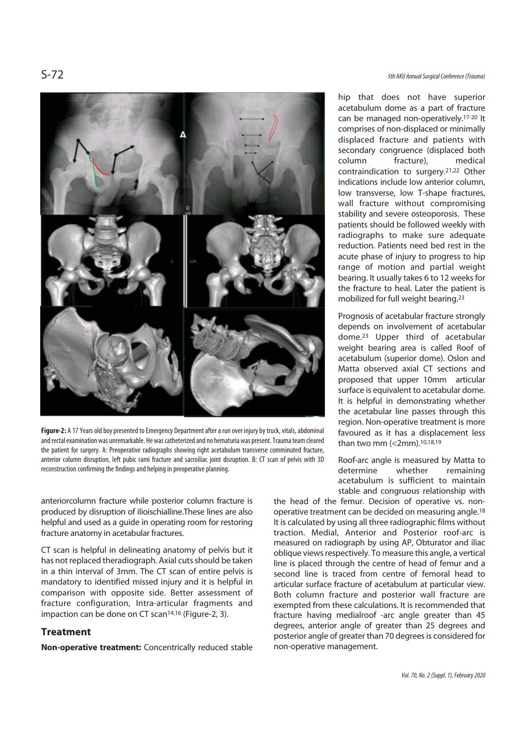

**Figure-2:** A 17 Years old boy presented to Emergency Department after a run over injury by truck, vitals, abdominal and rectal examination was unremarkable. He was catheterized and no hematuria was present. Trauma team cleared the patient for surgery. A: Preoperative radiographs showing right acetabulum transverse comminuted fracture, anterior column disruption, left pubic rami fracture and sacroiliac joint disruption. B: CT scan of pelvis with 3D reconstruction confirming the findings and helping in preoperative planning.

anteriorcolumn fracture while posterior column fracture is produced by disruption of ilioischialline.These lines are also helpful and used as a guide in operating room for restoring fracture anatomy in acetabular fractures.

CT scan is helpful in delineating anatomy of pelvis but it has not replaced theradiograph. Axial cuts should be taken in a thin interval of 3mm. The CT scan of entire pelvis is mandatory to identified missed injury and it is helpful in comparison with opposite side. Better assessment of fracture configuration, Intra-articular fragments and impaction can be done on CT scan<sup>14,16</sup> (Figure-2, 3).

#### **Treatment**

**Non-operative treatment:** Concentrically reduced stable

hip that does not have superior acetabulum dome as a part of fracture can be managed non-operatively.17-20 It comprises of non-displaced or minimally displaced fracture and patients with secondary congruence (displaced both column fracture), medical contraindication to surgery.21,22 Other indications include low anterior column, low transverse, low T-shape fractures, wall fracture without compromising stability and severe osteoporosis. These patients should be followed weekly with radiographs to make sure adequate reduction. Patients need bed rest in the acute phase of injury to progress to hip range of motion and partial weight bearing. It usually takes 6 to 12 weeks for the fracture to heal. Later the patient is mobilized for full weight bearing.23

Prognosis of acetabular fracture strongly depends on involvement of acetabular dome.23 Upper third of acetabular weight bearing area is called Roof of acetabulum (superior dome). Oslon and Matta observed axial CT sections and proposed that upper 10mm articular surface is equivalent to acetabular dome. It is helpful in demonstrating whether the acetabular line passes through this region. Non-operative treatment is more favoured as it has a displacement less than two mm (<2mm).10,18,19

Roof-arc angle is measured by Matta to determine whether remaining acetabulum is sufficient to maintain stable and congruous relationship with

the head of the femur. Decision of operative vs. nonoperative treatment can be decided on measuring angle.18 It is calculated by using all three radiographic films without traction. Medial, Anterior and Posterior roof-arc is measured on radiograph by using AP, Obturator and iliac oblique views respectively. To measure this angle, a vertical line is placed through the centre of head of femur and a second line is traced from centre of femoral head to articular surface fracture of acetabulum at particular view. Both column fracture and posterior wall fracture are exempted from these calculations. It is recommended that fracture having medialroof -arc angle greater than 45 degrees, anterior angle of greater than 25 degrees and posterior angle of greater than 70 degrees is considered for non-operative management.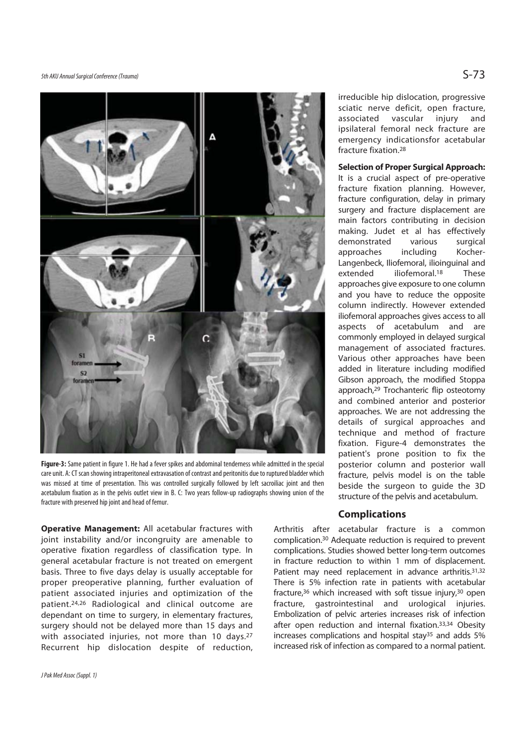5th AKU Annual Surgical Conference (Trauma)  $S$ -73



**Figure-3:** Same patient in figure 1. He had a fever spikes and abdominal tenderness while admitted in the special care unit. A: CT scan showing intraperitoneal extravasation of contrast and peritonitis due to ruptured bladder which was missed at time of presentation. This was controlled surgically followed by left sacroiliac joint and then acetabulum fixation as in the pelvis outlet view in B. C: Two years follow-up radiographs showing union of the fracture with preserved hip joint and head of femur.

**Operative Management:** All acetabular fractures with joint instability and/or incongruity are amenable to operative fixation regardless of classification type. In general acetabular fracture is not treated on emergent basis. Three to five days delay is usually acceptable for proper preoperative planning, further evaluation of patient associated injuries and optimization of the patient.24,26 Radiological and clinical outcome are dependant on time to surgery, in elementary fractures, surgery should not be delayed more than 15 days and with associated injuries, not more than 10 days.<sup>27</sup> Recurrent hip dislocation despite of reduction,

irreducible hip dislocation, progressive sciatic nerve deficit, open fracture, associated vascular injury and ipsilateral femoral neck fracture are emergency indicationsfor acetabular fracture fixation.28

#### **Selection of Proper Surgical Approach:**

It is a crucial aspect of pre-operative fracture fixation planning. However, fracture configuration, delay in primary surgery and fracture displacement are main factors contributing in decision making. Judet et al has effectively demonstrated various surgical approaches including Kocher-Langenbeck, Iliofemoral, ilioinguinal and extended iliofemoral.<sup>18</sup> These approaches give exposure to one column and you have to reduce the opposite column indirectly. However extended iliofemoral approaches gives access to all aspects of acetabulum and are commonly employed in delayed surgical management of associated fractures. Various other approaches have been added in literature including modified Gibson approach, the modified Stoppa approach,29 Trochanteric flip osteotomy and combined anterior and posterior approaches. We are not addressing the details of surgical approaches and technique and method of fracture fixation. Figure-4 demonstrates the patient's prone position to fix the posterior column and posterior wall fracture, pelvis model is on the table beside the surgeon to guide the 3D structure of the pelvis and acetabulum.

#### **Complications**

Arthritis after acetabular fracture is a common complication.30 Adequate reduction is required to prevent complications. Studies showed better long-term outcomes in fracture reduction to within 1 mm of displacement. Patient may need replacement in advance arthritis.<sup>31,32</sup> There is 5% infection rate in patients with acetabular fracture,<sup>36</sup> which increased with soft tissue injury,<sup>30</sup> open fracture, gastrointestinal and urological injuries. Embolization of pelvic arteries increases risk of infection after open reduction and internal fixation.33,34 Obesity increases complications and hospital stay<sup>35</sup> and adds 5% increased risk of infection as compared to a normal patient.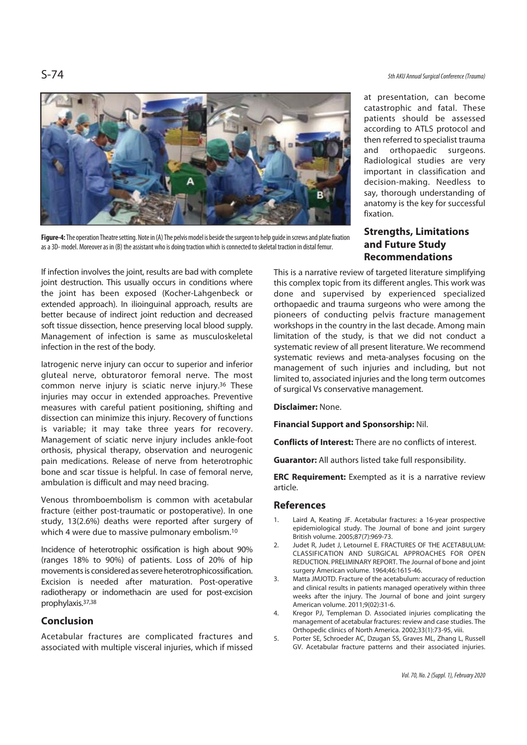

**Figure-4:** The operation Theatre setting. Note in (A) The pelvis model is beside the surgeon to help guide in screws and plate fixation as a 3D- model. Moreover as in (B) the assistant who is doing traction which is connected to skeletal traction in distal femur.

If infection involves the joint, results are bad with complete joint destruction. This usually occurs in conditions where the joint has been exposed (Kocher-Lahgenbeck or extended approach). In ilioinguinal approach, results are better because of indirect joint reduction and decreased soft tissue dissection, hence preserving local blood supply. Management of infection is same as musculoskeletal infection in the rest of the body.

Iatrogenic nerve injury can occur to superior and inferior gluteal nerve, obturatoror femoral nerve. The most common nerve injury is sciatic nerve injury.36 These injuries may occur in extended approaches. Preventive measures with careful patient positioning, shifting and dissection can minimize this injury. Recovery of functions is variable; it may take three years for recovery. Management of sciatic nerve injury includes ankle-foot orthosis, physical therapy, observation and neurogenic pain medications. Release of nerve from heterotrophic bone and scar tissue is helpful. In case of femoral nerve, ambulation is difficult and may need bracing.

Venous thromboembolism is common with acetabular fracture (either post-traumatic or postoperative). In one study, 13(2.6%) deaths were reported after surgery of which 4 were due to massive pulmonary embolism.<sup>10</sup>

Incidence of heterotrophic ossification is high about 90% (ranges 18% to 90%) of patients. Loss of 20% of hip movements is considered as severe heterotrophicossification. Excision is needed after maturation. Post-operative radiotherapy or indomethacin are used for post-excision prophylaxis.37,38

### **Conclusion**

Acetabular fractures are complicated fractures and associated with multiple visceral injuries, which if missed

S-74 5th AKU Annual Surgical Conference (Trauma)

at presentation, can become catastrophic and fatal. These patients should be assessed according to ATLS protocol and then referred to specialist trauma and orthopaedic surgeons. Radiological studies are very important in classification and decision-making. Needless to say, thorough understanding of anatomy is the key for successful fixation.

# **Strengths, Limitations and Future Study Recommendations**

This is a narrative review of targeted literature simplifying this complex topic from its different angles. This work was done and supervised by experienced specialized orthopaedic and trauma surgeons who were among the pioneers of conducting pelvis fracture management workshops in the country in the last decade. Among main limitation of the study, is that we did not conduct a systematic review of all present literature. We recommend systematic reviews and meta-analyses focusing on the management of such injuries and including, but not limited to, associated injuries and the long term outcomes of surgical Vs conservative management.

**Disclaimer:** None.

**Financial Support and Sponsorship:** Nil.

**Conflicts of Interest:** There are no conflicts of interest.

**Guarantor:** All authors listed take full responsibility.

**ERC Requirement:** Exempted as it is a narrative review article.

### **References**

- 1. Laird A, Keating JF. Acetabular fractures: a 16-year prospective epidemiological study. The Journal of bone and joint surgery British volume. 2005;87(7):969-73.
- 2. Judet R, Judet J, Letournel E. FRACTURES OF THE ACETABULUM: CLASSIFICATION AND SURGICAL APPROACHES FOR OPEN REDUCTION. PRELIMINARY REPORT. The Journal of bone and joint surgery American volume. 1964;46:1615-46.
- 3. Matta JMJOTD. Fracture of the acetabulum: accuracy of reduction and clinical results in patients managed operatively within three weeks after the injury. The Journal of bone and joint surgery American volume. 2011;9(02):31-6.
- 4. Kregor PJ, Templeman D. Associated injuries complicating the management of acetabular fractures: review and case studies. The Orthopedic clinics of North America. 2002;33(1):73-95, viii.
- 5. Porter SE, Schroeder AC, Dzugan SS, Graves ML, Zhang L, Russell GV. Acetabular fracture patterns and their associated injuries.